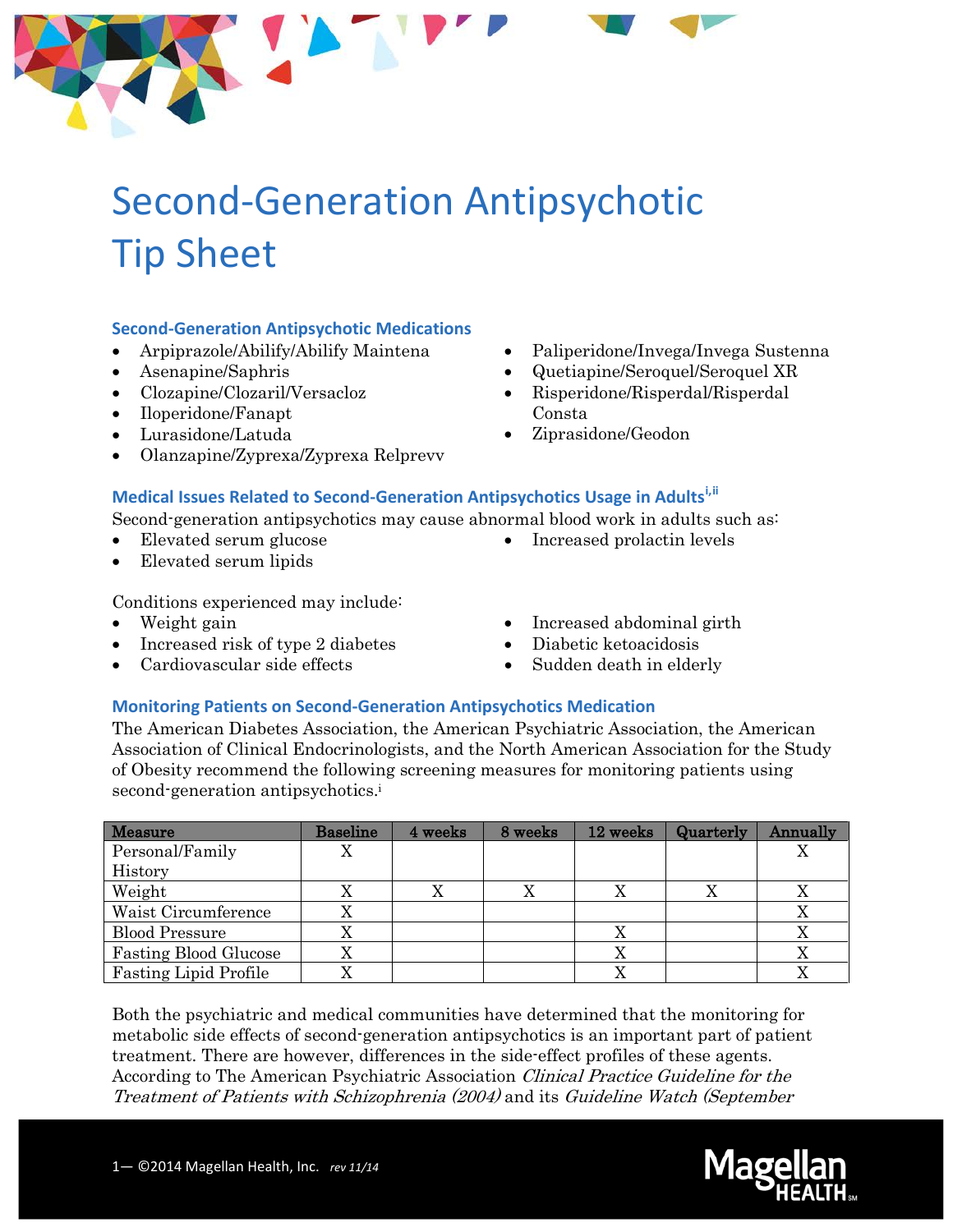

# Second-Generation Antipsychotic Tip Sheet

#### **Second-Generation Antipsychotic Medications**

- Arpiprazole/Abilify/Abilify Maintena
- Asenapine/Saphris
- Clozapine/Clozaril/Versacloz
- Iloperidone/Fanapt
- Lurasidone/Latuda
- Olanzapine/Zyprexa/Zyprexa Relprevv
- Paliperidone/Invega/Invega Sustenna
- Quetiapine/Seroquel/Seroquel XR
- Risperidone/Risperdal/Risperdal Consta
- Ziprasidone/Geodon

### **Medical Issues Related to Second-Generation Antipsychotics Usage in Adults[i](#page-1-0),[ii](#page-1-1)**

Second-generation antipsychotics may cause abnormal blood work in adults such as:

- Elevated serum glucose
- Elevated serum lipids
- Conditions experienced may include:
- Weight gain
- Increased risk of type 2 diabetes
- Cardiovascular side effects

• Increased abdominal girth

• Increased prolactin levels

- Diabetic ketoacidosis
- Sudden death in elderly

#### **Monitoring Patients on Second-Generation Antipsychotics Medication**

The American Diabetes Association, the American Psychiatric Association, the American Association of Clinical Endocrinologists, and the North American Association for the Study of Obesity recommend the following screening measures for monitoring patients using second-generation antipsychotics.<sup>i</sup>

| <b>Measure</b>               | <b>Baseline</b> | 4 weeks | 8 weeks | 12 weeks  | Quarterly | Annually |
|------------------------------|-----------------|---------|---------|-----------|-----------|----------|
| Personal/Family              | X               |         |         |           |           |          |
| History                      |                 |         |         |           |           |          |
| Weight                       |                 |         | X       |           |           |          |
| Waist Circumference          |                 |         |         |           |           |          |
| <b>Blood Pressure</b>        | Λ               |         |         |           |           |          |
| <b>Fasting Blood Glucose</b> | Х               |         |         | $\Lambda$ |           | Δ        |
| <b>Fasting Lipid Profile</b> | Λ               |         |         |           |           |          |

Both the psychiatric and medical communities have determined that the monitoring for metabolic side effects of second-generation antipsychotics is an important part of patient treatment. There are however, differences in the side-effect profiles of these agents. According to The American Psychiatric Association Clinical Practice Guideline for the Treatment of Patients with Schizophrenia (2004) and its Guideline Watch (September